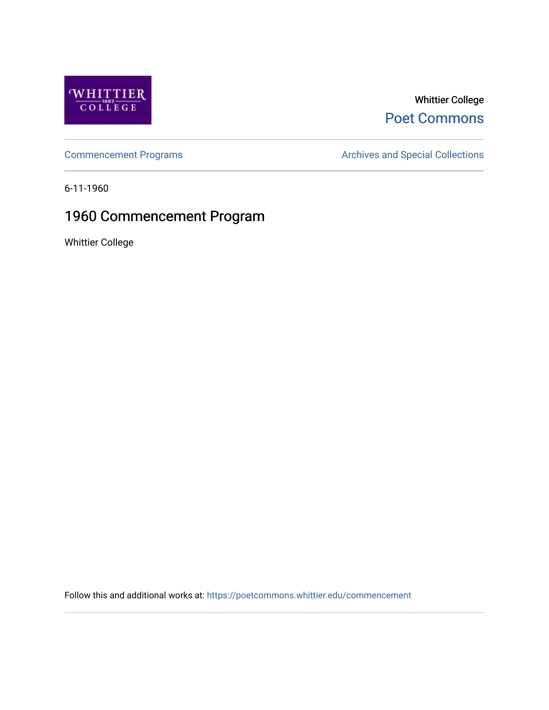

## Whittier College [Poet Commons](https://poetcommons.whittier.edu/)

[Commencement Programs](https://poetcommons.whittier.edu/commencement) **Archives and Special Collections** Archives and Special Collections

6-11-1960

## 1960 Commencement Program

Whittier College

Follow this and additional works at: [https://poetcommons.whittier.edu/commencement](https://poetcommons.whittier.edu/commencement?utm_source=poetcommons.whittier.edu%2Fcommencement%2F49&utm_medium=PDF&utm_campaign=PDFCoverPages)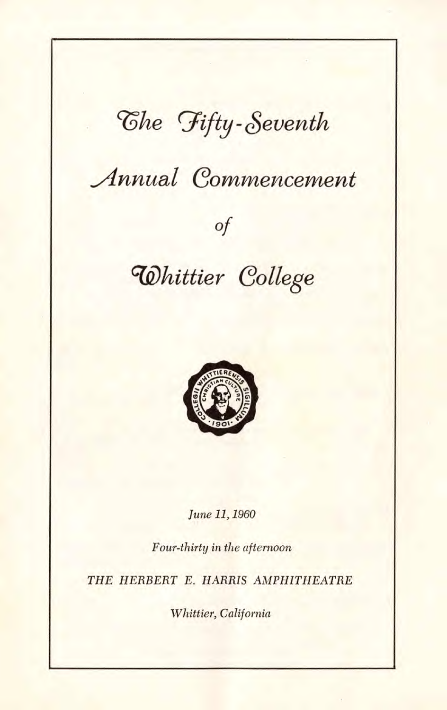# $\n *C*$ he Fifty-Seventh

## **.Annual Commencement**

### Of

## **Whittier College**



June 11, 1960

Four-thirty in the afternoon

THE HERBERT E. HARRIS AMPHITHEATRE

Whittier, California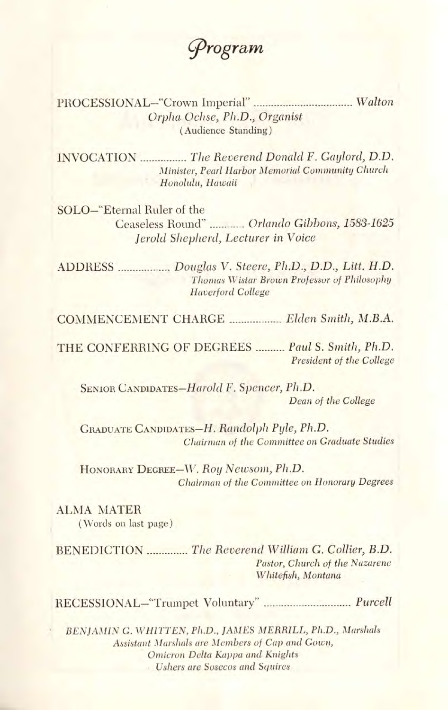rogram

PROCESSIONAL-"Crown Imperial" .................................. Walton Orpha Ochse, Ph.D., Organist (Audience Standing)

INVOCATION **EXECUTE:** The Reverend Donald F. Gaylord, D.D. Minister, Pearl Harbor Memorial Community Church Honolulu, Hawaii

SOLO—'Eternal Ruler of the Ceaseless Round" ............ Orlando Gibbons, 1583-1625 Jerold Shepherd, Lecturer in Voice

ADDRESS Douglas V. Steere, Ph.D., D.D., Litt. H.D. Thomas Wistar Brown Professor of Philosophy Haverford College

COMMENCEMENT CHARGE Elden Smith, M.B.A.

THE CONFERRING OF DEGREES ......... Paul S. Smith, Ph.D. President of the College

SENIOR CANDiDATEs—Harold F. Spencer, Ph.D. Dean of the College

GRADUATE CANDIDATES—H. Randolph Pyle, Ph.D. Chairman of the Committee on Graduate Studies

HONORARY DEGREE—IV. Roy Newsom, Ph.D. Chairman of the Committee on Honorary Degrees

ALMA MATER (Words on last page)

BENEDICTION The Reverend William G. Collier, B.D. Pastor, Church of the Nazarene Whitefish, Montana

RECESSIONAL-"Trumpet Voluntary" .............................. Purcell

BENJAMIN G. WHITTEN, Ph.D., JAMES MERRILL, Ph.D., Marshals Assistant Marshals are Members of Cap and Gown, Omicron Delta Kappa and Knights • Ushers are Sosecos and Squires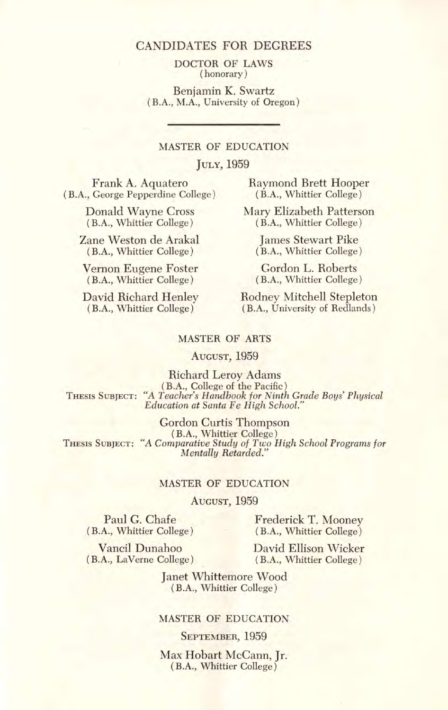DOCTOR OF LAWS (honorary)

Benjamin K. Swartz (BA., M.A., University of Oregon)

### MASTER OF EDUCATION

#### JULY, 1959

(B.A., George Pepperdine College)

(BA., Whittier College) (B.A., Whittier College)

Zane Weston de Arakal James Stewart Pike<br>
(B.A., Whittier College) (B.A., Whittier College

Vernon Eugene Foster Gordon L. Roberts<br>
(B.A., Whittier College) (B.A., Whittier College) (B.A., Whittier College) (B.A., Whittier College)

Frank A. Aquatero Raymond Brett Hooper<br>
George Pepperdine College) (B.A., Whittier College)

Donald Wayne Cross Mary Elizabeth Patterson<br>
(B.A., Whittier College) (B.A., Whittier College)

(B.A., Whittier College) (B.A., Whittier College)

David Richard Henley Rodney Mitchell Stepleton<br>(B.A., Whittier College) (B.A., University of Redlands) (B.A., University of Redlands)

#### MASTER OF ARTS

#### AUGUST, 1959

Richard Leroy Adams (B.A., College of the Pacific) THESIS SUBJECT: "A Teacher's Handbook for Ninth Grade Boys' Physical Education at Santa Fe High School."

Gordon Curtis Thompson (B.A., Whittier College) THESIS SUBJECT: "A Comparative Study of Two High School Programs for Mentally Retarded."

#### MASTER OF EDUCATION

AUGUST, 1959

Paul G. Chafe Frederick T. Mooney<br>
(B.A., Whittier College) (B.A., Whittier College) (B.A., Whittier College) (BA., Whittier College)

Vancil Dunahoo David Ellison Wicker (B.A., LaVerne College) (B.A., Whittier College)

> Janet Whittemore Wood (B.A., Whittier College)

#### MASTER OF EDUCATION

SEPTEMBER, 1959

Max Hobart McCann, Jr. (B.A., Whittier College)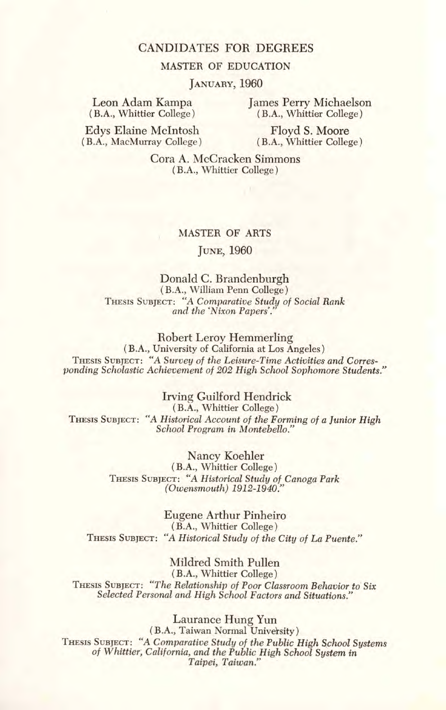#### MASTER OF EDUCATION

JANUARY, 1960

Leon Adam Kampa (B.A., Whittier College) James Perry Michaelson (BA., Whittier College)

Edys Elaine McIntosh (B.A., MacMurray College)

Floyd S. Moore (BA., Whittier College)

Cora A. McCracken Simmons (B.A., Whittier College)

#### MASTER OF ARTS

#### JUNE, 1960

#### Donald C. Brandenburgh (BA., William Penn College) THESIS SUBJECT: "A Comparative Study of Social Rank ' and the 'Nixon Papers.'

Robert Leroy Hemmerling

(B.A., University of California at Los Angeles) THESIS SUBJECT: "A Survey of the Leisure-Time Activities and Corresponding Scholastic Achievement of 202 High School Sophomore Students."

Irving Guilford Hendrick (BA., Whittier College) THESIS SUBJECT: "A Historical Account of the Forming of a Junior High School Program in Montebello."

> Nancy Koehler (B.A., Whittier College) THESIS SUBJECT: "A Historical Study of Canoga Park (Owensmouth) 1912-1940."

Eugene Arthur Pinheiro (B.A., Whittier College) THESIS SUBJECT: "A Historical Study of the City of La Puente."

Mildred Smith Pullen (B.A., Whittier College) THESIS SUBJECT: "The Relationship of Poor Classroom Behavior to Six Selected Personal and High School Factors and Situations."

Laurance Hung Yun (B.A., Taiwan Normal University) THESIS SUBJECT: "A Comparative Study of the Public High School Systems of Whittier; California, and the Public High School System in Taipei, Taiwan."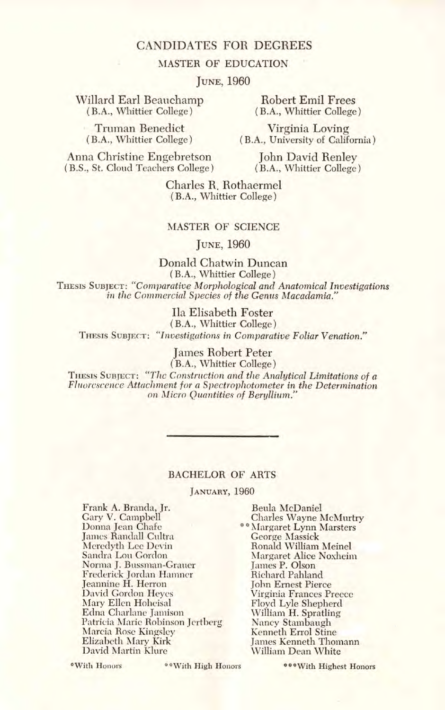#### MASTER OF EDUCATION

#### JUNE, 1960

Willard Earl Beauchamp<br>
(B.A., Whittier College) (B.A., Whittier College

Truman Benedict Virginia Loving<br>
(B.A., Whittier College) (B.A., University of Calif

(BA., Whittier College) (B.A., Whittier College)

(B.A., University of California)

Anna Christine Engebretson John David Renley<br>(B.S., St. Cloud Teachers College) (B.A., Whittier College) (B.S., St. Cloud Teachers College)

Charles R. Rothaermei (B.A., Whittier College)

#### MASTER OF SCIENCE

JUNE, 1960

Donald Chatwin Duncan (BA., Whittier College) THESIS SUBJECT: "Comparative MOrphological and Anatomical Investigations in the Commercial Species of the Genus Macadamia."

Ila Elisabeth Foster (BA., Whittier College) THESIS SUBJECT: "Investigations in Comparative Foliar Venation."

> James Robert Peter (BA., Whittier College)

THESIS SUBJECT: "The Construction and the Analytical Limitations of a Fluorescence Attachment for a Spectrophotometer in the Determination on Micro Quantities of Beryllium."

#### BACHELOR OF ARTS

JANUARY, 1960

Frank A. Branda, Jr. Gary V. Campbell Donna Jean Chafe James Randall Cultra Meredyth Lee Devin Sandra Lou Gordon Norma J. Bussman-Grauer Frederick Jordan Hamner Jeannine H. Herron David Gordon Heyes Mary Ellen Hoheisal Edna Charlane Jamison Patricia Marie Robinson jcrtberg Marcia Rose Kingsley Elizabeth Mary Kirk David Martin Khure

Beula McDaniel Charles Wayne McMurtry Margaret Lynn Marsters George Massick Ronald William Meinel Margaret Alice Noxheim James P. Olson Richard Pahland John Ernest Pierce Virginia Frances Preece Floyd Lyle Shepherd William H. Spratling Nancy Stambaugh Kenneth Errol Stine James Kenneth Thomann William Dean White

\*With Honors \*\* With High Honors

\*\*\* With Highest Honors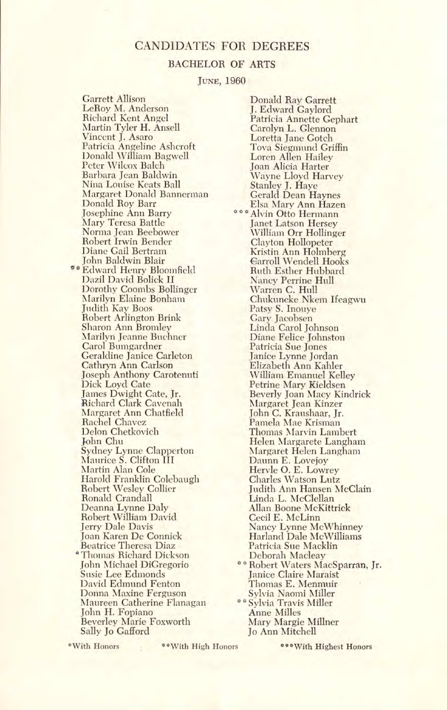#### BACHELOR OF ARTS

JUNE, 1960

Garrett Allison LeRoy M. Anderson Richard Kent Angel Martin Tyler H. Ansell Vincent J. Asaro Patricia Angeline Ashcroft Donald William Bagwell Peter Wilcox Balch Barbara Jean Baldwin Nina Louise Keats Ball Margaret Donald Bannerman Donald Roy Barr Josephine Ann Barry Mary Teresa Battle Norma Jean Beebower Robert Irwin Bender Diane Gail Bertram John Baldwin Blair \*\* Edward Henry Bloomfield l)azil David Bolick II Dorothy Coombs Bollinger Marilyn Elaine Bonham Judith Kay Boos Robert Arlington Brink Sharon Ann Bromley Marilyn Jeanne Buchner Carol Bumgardner Geraldine Janice Carleton Cathryn Ann Carlson Joseph Anthony Carotenuti Dick Loyd Cate James Dwight Cate, Jr. Richard Clark Cavenah Margaret Ann Chatfield Rachel Chavez Delon Chetkovich ohn Chu Sydney Lynne Clapperton Maurice S. Clifton III Martin Alan Cole Harold Franklin Colebaugh Robert Wesley Collier Ronald Crandall Deanna Lynne Daly Robert William David Jerry Dale Davis Joan Karen De Connick Beatrice Theresa Diaz 'Thomas Richard Dickson John Michael DiGregorio Susie Lee Edmonds David Edmund Fenton I)oñna Maxine Ferguson Maureen Catherine Flanagan John H. Fopiano Beverley Marie Foxworth Sally Jo Gafford

Donald Ray Garrett J. Edward Gaylord Patricia Annette Gephart Carolyn L. Glennon Loretta Jane Gotch Tova Siegmund Griffin Loren Allen Hailey Joan Alicia Harter Wayne Lloyd Harvey Stanley J. Haye Gerald Dean Haynes Elsa Mary Ann Hazen \*\*\* Alvin Otto Hermann Janet Latson Hersey William Orr Hollinger Clayton Hollopeter Kristin Ann Holmberg Carroll Wendell Hooks Ruth Esther Hubbard Nancy Perrine Hull Warren C. Hull Chukuneke Nkem Ifeagwu Patsy S. Inouye Gary Jacobsen Linda Carol Johnson Diane Felice Johnston Patricia Sue Jones Janice Lynne Jordan Elizabeth Ann Kahler William Emanuel Kelley Petrine Mary Kieldsen Beverly Joan Macy Kindrick Margaret Jean Kinzer John C. Kraushaar, Jr. Pamela Mae Krisman Thomas Marvin Lambert Helen Margarete Langham Margaret Helen Langham Daunn E. Lovejoy Hervie 0. E. Lowrey Charles Watson Lutz Judith Ann Hansen McClain Linda L. McClellan Allan Boone McKittrick Cecil E. McLinn Nancy Lynne McWhinney Harland Dale McWilliams Patricia Sue Macklin Deborah Macleay ° Robert Waters MacSparran, Jr. Janice Claire Maraist Thomas E. Menmuir Sylvia Naomi Miller \* Sylvia Travis Miller Anne Milles Mary Margie Miliner Jo Ann Mitchell

\*With Honors \*\*With High H onors \*\*\*With Highest Honors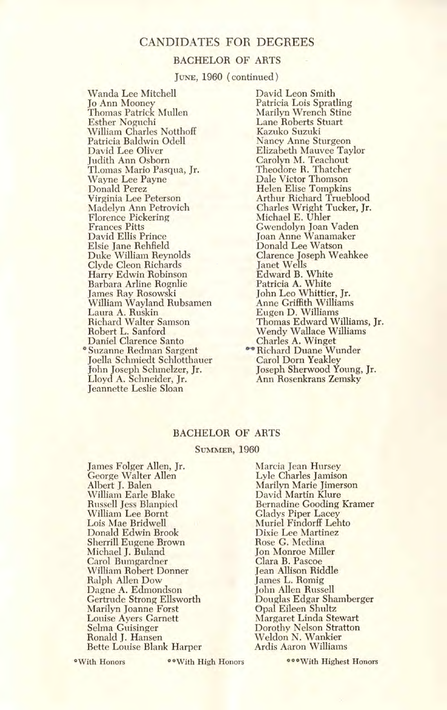#### BACHELOR OF ARTS

JUNE, 1960 (continued)

Wanda Lee Mitchell Jo Ann Mooney Thomas Patrick Mullen Esther Noguchi William Charles Notthoff Patricia Baldwin Odell David Lee Oliver Judith Ann Osborn TLomas Mario Pasqua, Jr. Wayne Lee Payne Donald Perez Virginia Lee Peterson Madelyn Ann Petrovich Florence Pickering Frances Pitts David Ellis Prince Elsie Jane Rehfield Duke William Reynolds Clyde Cleon Richards Harry Edwin Robinson Barbara Arline Rognlie James Ray Rosowski<br>William Wayland Rubsamen Laura A. Ruskin Richard Walter Samson Robert L. Sanford Daniel Clarence Santo \*Suzanne Redman Sargent joella Schmiedt Schlotthauer John Joseph Schrnelzer, Jr. Lloyd A. Schneider, Jr. Jeannette Leslie Sloan

David Leon Smith Patricia Lois Spratling Marilyn Wrench Stine Lane Roberts Stuart Kazuko Suzuki Nancy Anne Sturgeon Elizabeth Mauvee Taylor Carolyn M. Teachout Theodore R. Thatcher Dale Victor Thomson Helen Elise Tompkins Arthur Richard Trueblood Charles Wright Tucker, Jr. Michael E. Uhler Gwendolyn Joan Vaden Joan Anne Wanamaker Donald Lee Watson Clarence Joseph Weahkee Janet Wells Edward B. White Patricia A. White John Leo Whittier, Jr. Anne Griffith Williams Eugen D. Williams<br>Thomas Edward Williams, Jr. Wendy Wallace Williams Charles A. Winge<del>t</del><br>Richard Duane Wunder<br>Carol Dorn Yeakley Joseph Sherwood Young, Jr. Ann Rosenkrans Zemsky

#### BACHELOR OF ARTS

#### SUMMER, 1960

James Folger Allen, Jr. George Walter Allen Albert J. Balen William Earle Blake Russell Jess Blanpied William Lee Bornt Lois Mae Bridwell Donald Edwin Brook Sherrill Eugene Brown Michael J. Buland Carol Bumgardner William Robert Donner Ralph Allen Dow Dagne A. Edmondson Gertrude Strong Ellsworth Marilyn Joanne Forst Louise Ayers Garnett Selma Guisinger Ronald J. Hansen Bette Louise Blank Harper

Marcia Jean Hursey Lyle Charles Jamison Marilyn Marie Jimerson David Martin Klure Bernadine Gooding Kramer Gladys Piper Lacey Muriel Findorif Lehto Dixie Lee Martinez Rose G. Medina Jon Monroe Miller Clara B. Pascoe Jean Allison Riddle James L. Romig John Allen Russell Douglas Edgar Shamberger Opal Eileen Shultz Margaret Linda Stewart Dorothy Nelson Stratton Weldon N. Wankier Ardis Aaron Williams

°With Honors \*\*With High Honors \*\*\*With Highest Honors